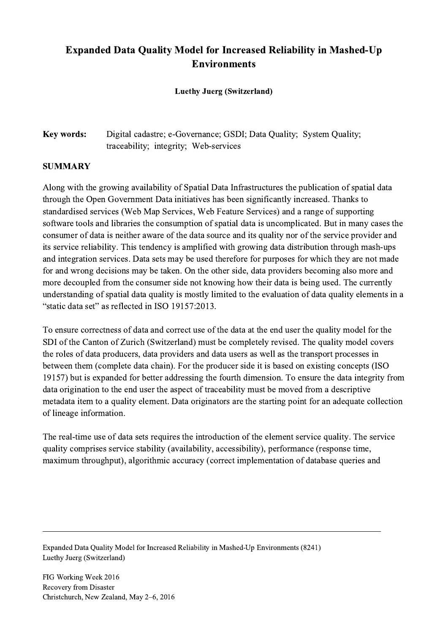## Expanded Data Quality Model for Increased Reliability in Mashed-Up Environments

## Luethy Juerg (Switzerland)

## Key words: Digital cadastre; e-Governance; GSDI; Data Quality; System Quality; traceability; integrity; Web-services

## SUMMARY

Along with the growing availability of Spatial Data Infrastructures the publication of spatial data through the Open Government Data initiatives has been significantly increased. Thanks to standardised services (Web Map Services, Web Feature Services) and a range of supporting software tools and libraries the consumption of spatial data is uncomplicated. But in many cases the consumer of data is neither aware of the data source and its quality nor of the service provider and its service reliability. This tendency is amplified with growing data distribution through mash-ups and integration services. Data sets may be used therefore for purposes for which they are not made for and wrong decisions may be taken. On the other side, data providers becoming also more and more decoupled from the consumer side not knowing how their data is being used. The currently understanding of spatial data quality is mostly limited to the evaluation of data quality elements in a "static data set" as reflected in ISO 19157:2013.

To ensure correctness of data and correct use of the data at the end user the quality model for the SDI of the Canton of Zurich (Switzerland) must be completely revised. The quality model covers the roles of data producers, data providers and data users as well as the transport processes in between them (complete data chain). For the producer side it is based on existing concepts (ISO 19157) but is expanded for better addressing the fourth dimension. To ensure the data integrity from data origination to the end user the aspect of traceability must be moved from a descriptive metadata item to a quality element. Data originators are the starting point for an adequate collection of lineage information.

The real-time use of data sets requires the introduction of the element service quality. The service quality comprises service stability (availability, accessibility), performance (response time, maximum throughput), algorithmic accuracy (correct implementation of database queries and

 $\mathcal{L}_\mathcal{L} = \{ \mathcal{L}_\mathcal{L} = \{ \mathcal{L}_\mathcal{L} = \{ \mathcal{L}_\mathcal{L} = \{ \mathcal{L}_\mathcal{L} = \{ \mathcal{L}_\mathcal{L} = \{ \mathcal{L}_\mathcal{L} = \{ \mathcal{L}_\mathcal{L} = \{ \mathcal{L}_\mathcal{L} = \{ \mathcal{L}_\mathcal{L} = \{ \mathcal{L}_\mathcal{L} = \{ \mathcal{L}_\mathcal{L} = \{ \mathcal{L}_\mathcal{L} = \{ \mathcal{L}_\mathcal{L} = \{ \mathcal{L}_\mathcal{$ 

Expanded Data Quality Model for Increased Reliability in Mashed-Up Environments (8241) Luethy Juerg (Switzerland)

FIG Working Week 2016 Recovery from Disaster Christchurch, New Zealand, May 2–6, 2016